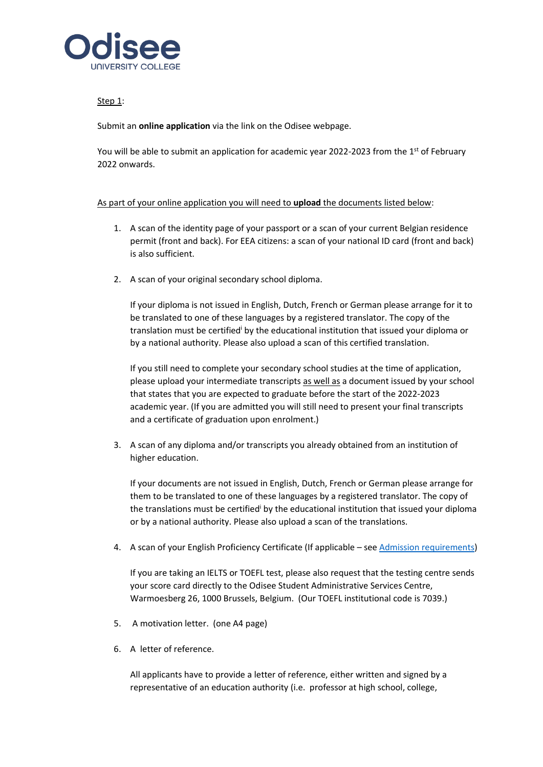

## Step 1:

Submit an **online application** via the link on the Odisee webpage.

You will be able to submit an application for academic year 2022-2023 from the 1<sup>st</sup> of February 2022 onwards.

## As part of your online application you will need to **upload** the documents listed below:

- 1. A scan of the identity page of your passport or a scan of your current Belgian residence permit (front and back). For EEA citizens: a scan of your national ID card (front and back) is also sufficient.
- 2. A scan of your original secondary school diploma.

<span id="page-0-0"></span>If your diploma is not issued in English, Dutch, French or German please arrange for it to be translated to one of these languages by a registered translator. The copy of the translation must be certified by the educational institution that issued your diploma or by a national authority. Please also upload a scan of this certified translation.

If you still need to complete your secondary school studies at the time of application, please upload your intermediate transcripts as well as a document issued by your school that states that you are expected to graduate before the start of the 2022-2023 academic year. (If you are admitted you will still need to present your final transcripts and a certificate of graduation upon enrolment.)

3. A scan of any diploma and/or transcripts you already obtained from an institution of higher education.

If your documents are not issued in English, Dutch, French or German please arrange for them to be translated to one of these languages by a registered translator. The copy of the translations must be certifie[d](#page-0-0)<sup>i</sup> by the educational institution that issued your diploma or by a national authority. Please also upload a scan of the translations.

4. A scan of your English Proficiency Certificate (If applicable – see [Admission requirements\)](https://www.odisee.be/en/admission-requirements-registration-non-flemish-diploma)

If you are taking an IELTS or TOEFL test, please also request that the testing centre sends your score card directly to the Odisee Student Administrative Services Centre, Warmoesberg 26, 1000 Brussels, Belgium. (Our TOEFL institutional code is 7039.)

- 5. A motivation letter. (one A4 page)
- 6. A letter of reference.

All applicants have to provide a letter of reference, either written and signed by a representative of an education authority (i.e. professor at high school, college,